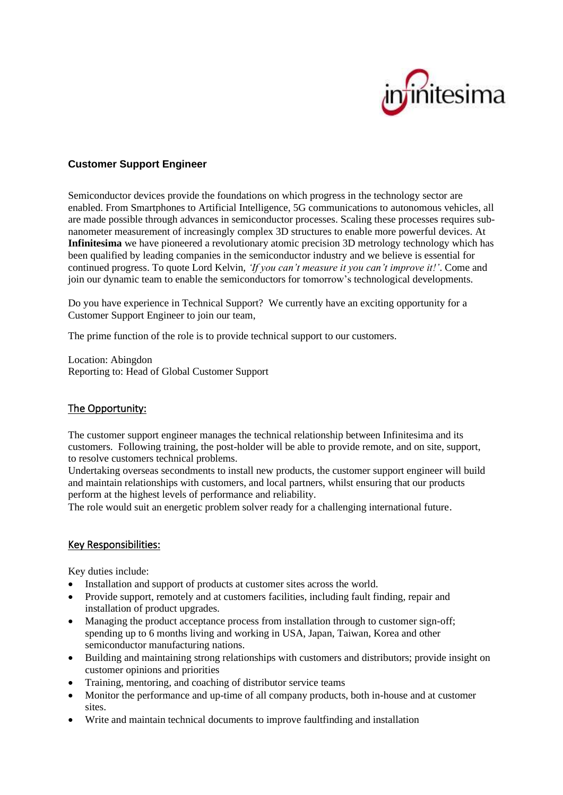

# **Customer Support Engineer**

Semiconductor devices provide the foundations on which progress in the technology sector are enabled. From Smartphones to Artificial Intelligence, 5G communications to autonomous vehicles, all are made possible through advances in semiconductor processes. Scaling these processes requires subnanometer measurement of increasingly complex 3D structures to enable more powerful devices. At **Infinitesima** we have pioneered a revolutionary atomic precision 3D metrology technology which has been qualified by leading companies in the semiconductor industry and we believe is essential for continued progress. To quote Lord Kelvin, *'If you can't measure it you can't improve it!'*. Come and join our dynamic team to enable the semiconductors for tomorrow's technological developments.

Do you have experience in Technical Support? We currently have an exciting opportunity for a Customer Support Engineer to join our team,

The prime function of the role is to provide technical support to our customers.

Location: Abingdon Reporting to: Head of Global Customer Support

## The Opportunity:

The customer support engineer manages the technical relationship between Infinitesima and its customers. Following training, the post-holder will be able to provide remote, and on site, support, to resolve customers technical problems.

Undertaking overseas secondments to install new products, the customer support engineer will build and maintain relationships with customers, and local partners, whilst ensuring that our products perform at the highest levels of performance and reliability.

The role would suit an energetic problem solver ready for a challenging international future.

## Key Responsibilities:

Key duties include:

- Installation and support of products at customer sites across the world.
- Provide support, remotely and at customers facilities, including fault finding, repair and installation of product upgrades.
- Managing the product acceptance process from installation through to customer sign-off; spending up to 6 months living and working in USA, Japan, Taiwan, Korea and other semiconductor manufacturing nations.
- Building and maintaining strong relationships with customers and distributors; provide insight on customer opinions and priorities
- Training, mentoring, and coaching of distributor service teams
- Monitor the performance and up-time of all company products, both in-house and at customer sites.
- Write and maintain technical documents to improve faultfinding and installation